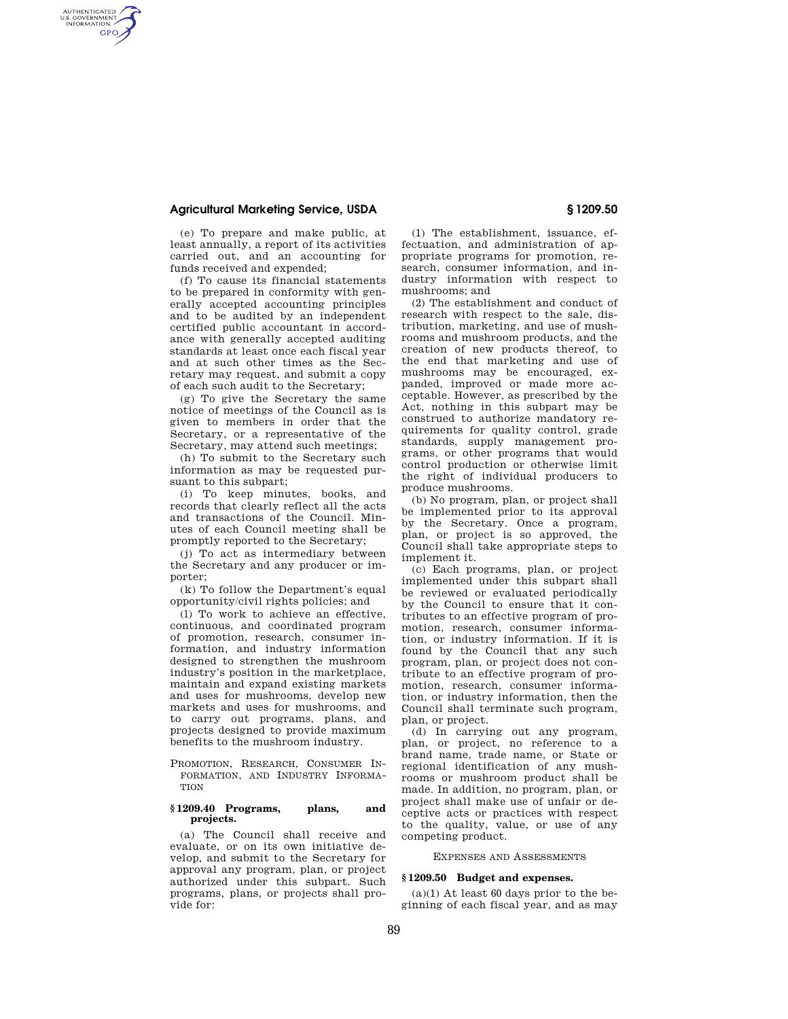## **Agricultural Marketing Service, USDA § 1209.50**

AUTHENTICATED<br>U.S. GOVERNMENT<br>INFORMATION **GPO** 

> (e) To prepare and make public, at least annually, a report of its activities carried out, and an accounting for funds received and expended;

> (f) To cause its financial statements to be prepared in conformity with generally accepted accounting principles and to be audited by an independent certified public accountant in accordance with generally accepted auditing standards at least once each fiscal year and at such other times as the Secretary may request, and submit a copy of each such audit to the Secretary;

> (g) To give the Secretary the same notice of meetings of the Council as is given to members in order that the Secretary, or a representative of the Secretary, may attend such meetings;

(h) To submit to the Secretary such information as may be requested pursuant to this subpart;

(i) To keep minutes, books, and records that clearly reflect all the acts and transactions of the Council. Minutes of each Council meeting shall be promptly reported to the Secretary;

(j) To act as intermediary between the Secretary and any producer or importer;

(k) To follow the Department's equal opportunity/civil rights policies; and

(l) To work to achieve an effective, continuous, and coordinated program of promotion, research, consumer information, and industry information designed to strengthen the mushroom industry's position in the marketplace, maintain and expand existing markets and uses for mushrooms, develop new markets and uses for mushrooms, and to carry out programs, plans, and projects designed to provide maximum benefits to the mushroom industry.

PROMOTION, RESEARCH, CONSUMER IN-FORMATION, AND INDUSTRY INFORMA-**TION** 

#### **§ 1209.40 Programs, plans, and projects.**

(a) The Council shall receive and evaluate, or on its own initiative develop, and submit to the Secretary for approval any program, plan, or project authorized under this subpart. Such programs, plans, or projects shall provide for:

(1) The establishment, issuance, effectuation, and administration of appropriate programs for promotion, research, consumer information, and industry information with respect to mushrooms; and

(2) The establishment and conduct of research with respect to the sale, distribution, marketing, and use of mushrooms and mushroom products, and the creation of new products thereof, to the end that marketing and use of mushrooms may be encouraged, expanded, improved or made more acceptable. However, as prescribed by the Act, nothing in this subpart may be construed to authorize mandatory requirements for quality control, grade standards, supply management programs, or other programs that would control production or otherwise limit the right of individual producers to produce mushrooms.

(b) No program, plan, or project shall be implemented prior to its approval by the Secretary. Once a program, plan, or project is so approved, the Council shall take appropriate steps to implement it.

(c) Each programs, plan, or project implemented under this subpart shall be reviewed or evaluated periodically by the Council to ensure that it contributes to an effective program of promotion, research, consumer information, or industry information. If it is found by the Council that any such program, plan, or project does not contribute to an effective program of promotion, research, consumer information, or industry information, then the Council shall terminate such program, plan, or project.

(d) In carrying out any program, plan, or project, no reference to a brand name, trade name, or State or regional identification of any mushrooms or mushroom product shall be made. In addition, no program, plan, or project shall make use of unfair or deceptive acts or practices with respect to the quality, value, or use of any competing product.

#### EXPENSES AND ASSESSMENTS

#### **§ 1209.50 Budget and expenses.**

 $(a)(1)$  At least 60 days prior to the beginning of each fiscal year, and as may